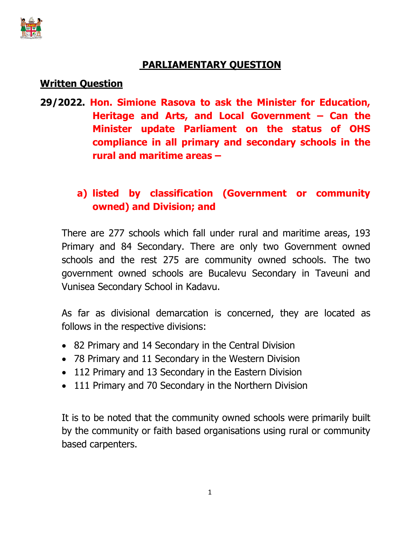

## **PARLIAMENTARY QUESTION**

## **Written Question**

**29/2022. Hon. Simione Rasova to ask the Minister for Education, Heritage and Arts, and Local Government – Can the Minister update Parliament on the status of OHS compliance in all primary and secondary schools in the rural and maritime areas –**

## **a) listed by classification (Government or community owned) and Division; and**

There are 277 schools which fall under rural and maritime areas, 193 Primary and 84 Secondary. There are only two Government owned schools and the rest 275 are community owned schools. The two government owned schools are Bucalevu Secondary in Taveuni and Vunisea Secondary School in Kadavu.

As far as divisional demarcation is concerned, they are located as follows in the respective divisions:

- 82 Primary and 14 Secondary in the Central Division
- 78 Primary and 11 Secondary in the Western Division
- 112 Primary and 13 Secondary in the Eastern Division
- 111 Primary and 70 Secondary in the Northern Division

It is to be noted that the community owned schools were primarily built by the community or faith based organisations using rural or community based carpenters.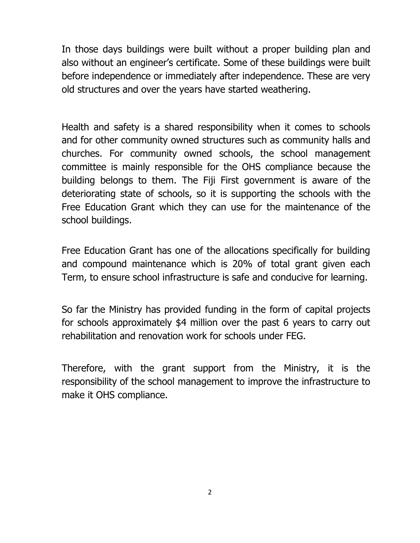In those days buildings were built without a proper building plan and also without an engineer's certificate. Some of these buildings were built before independence or immediately after independence. These are very old structures and over the years have started weathering.

Health and safety is a shared responsibility when it comes to schools and for other community owned structures such as community halls and churches. For community owned schools, the school management committee is mainly responsible for the OHS compliance because the building belongs to them. The Fiji First government is aware of the deteriorating state of schools, so it is supporting the schools with the Free Education Grant which they can use for the maintenance of the school buildings.

Free Education Grant has one of the allocations specifically for building and compound maintenance which is 20% of total grant given each Term, to ensure school infrastructure is safe and conducive for learning.

So far the Ministry has provided funding in the form of capital projects for schools approximately \$4 million over the past 6 years to carry out rehabilitation and renovation work for schools under FEG.

Therefore, with the grant support from the Ministry, it is the responsibility of the school management to improve the infrastructure to make it OHS compliance.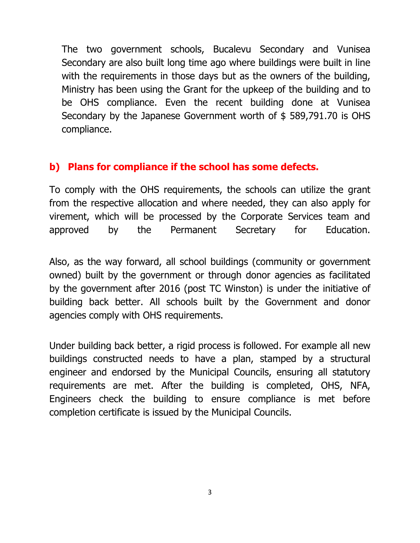The two government schools, Bucalevu Secondary and Vunisea Secondary are also built long time ago where buildings were built in line with the requirements in those days but as the owners of the building, Ministry has been using the Grant for the upkeep of the building and to be OHS compliance. Even the recent building done at Vunisea Secondary by the Japanese Government worth of \$ 589,791.70 is OHS compliance.

## **b) Plans for compliance if the school has some defects.**

To comply with the OHS requirements, the schools can utilize the grant from the respective allocation and where needed, they can also apply for virement, which will be processed by the Corporate Services team and approved by the Permanent Secretary for Education.

Also, as the way forward, all school buildings (community or government owned) built by the government or through donor agencies as facilitated by the government after 2016 (post TC Winston) is under the initiative of building back better. All schools built by the Government and donor agencies comply with OHS requirements.

Under building back better, a rigid process is followed. For example all new buildings constructed needs to have a plan, stamped by a structural engineer and endorsed by the Municipal Councils, ensuring all statutory requirements are met. After the building is completed, OHS, NFA, Engineers check the building to ensure compliance is met before completion certificate is issued by the Municipal Councils.